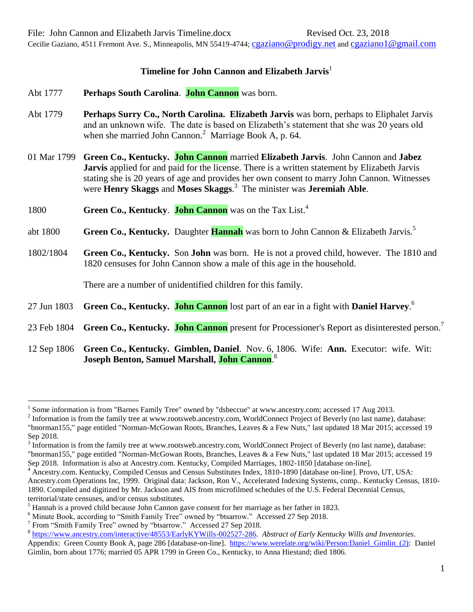Cecilie Gaziano, 4511 Fremont Ave. S., Minneapolis, MN 55419-4744; [cgaziano@prodigy.net](mailto:cgaziano@prodigy.net) and [cgaziano1@gmail.com](mailto:cgaziano1@gmail.com)

## **Timeline for John Cannon and Elizabeth Jarvis**<sup>1</sup>

- Abt 1777 **Perhaps South Carolina**. **John Cannon** was born.
- Abt 1779 **Perhaps Surry Co., North Carolina. Elizabeth Jarvis** was born, perhaps to Eliphalet Jarvis and an unknown wife. The date is based on Elizabeth's statement that she was 20 years old when she married John Cannon.<sup>2</sup> Marriage Book A, p. 64.
- 01 Mar 1799 **Green Co., Kentucky. John Cannon** married **Elizabeth Jarvis**. John Cannon and **Jabez Jarvis** applied for and paid for the license. There is a written statement by Elizabeth Jarvis stating she is 20 years of age and provides her own consent to marry John Cannon. Witnesses were **Henry Skaggs** and **Moses Skaggs**. 3 The minister was **Jeremiah Able**.
- 1800 **Green Co., Kentucky**. **John Cannon** was on the Tax List. 4
- abt 1800 **Green Co., Kentucky.** Daughter **Hannah** was born to John Cannon & Elizabeth Jarvis. 5
- 1802/1804 **Green Co., Kentucky.** Son **John** was born. He is not a proved child, however. The 1810 and 1820 censuses for John Cannon show a male of this age in the household.

There are a number of unidentified children for this family.

- 27 Jun 1803 **Green Co., Kentucky. John Cannon** lost part of an ear in a fight with **Daniel Harvey**. 6
- 23 Feb 1804 **Green Co., Kentucky. John Cannon** present for Processioner's Report as disinterested person.<sup>7</sup>
- 12 Sep 1806 **Green Co., Kentucky. Gimblen, Daniel**. Nov. 6, 1806. Wife: **Ann.** Executor: wife. Wit: **Joseph Benton, Samuel Marshall, John Cannon**. 8

<sup>&</sup>lt;sup>1</sup> Some information is from "Barnes Family Tree" owned by "dsbeccue" at www.ancestry.com; accessed 17 Aug 2013.

 $2$  Information is from the family tree at www.rootsweb.ancestry.com, WorldConnect Project of Beverly (no last name), database: "bnorman155," page entitled "Norman-McGowan Roots, Branches, Leaves & a Few Nuts," last updated 18 Mar 2015; accessed 19 Sep 2018.

 $3 \text{ Information is from the family tree at [www.rootsweb.ancestry.com, WorldConnect Project of Beverly \(no last name\), database:](https://www.rootsweb.ancestry.com)$ "bnorman155," page entitled "Norman-McGowan Roots, Branches, Leaves & a Few Nuts," last updated 18 Mar 2015; accessed 19 Sep 2018. Information is also at Ancestry.com. Kentucky, Compiled Marriages, 1802-1850 [database on-line].

<sup>4</sup> Ancestry.com. Kentucky, Compiled Census and Census Substitutes Index, 1810-1890 [database on-line]. Provo, UT, USA: Ancestry.com Operations Inc, 1999. Original data: Jackson, Ron V., Accelerated Indexing Systems, comp.. Kentucky Census, 1810- 1890. Compiled and digitized by Mr. Jackson and AIS from microfilmed schedules of the U.S. Federal Decennial Census, territorial/state censuses, and/or census substitutes.

<sup>&</sup>lt;sup>5</sup> Hannah is a proved child because John Cannon gave consent for her marriage as her father in 1823.

<sup>&</sup>lt;sup>6</sup> Minute Book, according to "Smith Family Tree" owned by "btsarrow." Accessed 27 Sep 2018.

<sup>&</sup>lt;sup>7</sup> From "Smith Family Tree" owned by "btsarrow." Accessed 27 Sep 2018.

<sup>8</sup> [https://www.ancestry.com/interactive/48553/EarlyKYWills-002527-286.](https://www.ancestry.com/interactive/48553/EarlyKYWills-002527-286) *Abstract of Early Kentucky Wills and Inventories*. Appendix: Green County Book A, page 286 [database-on-line]. https://www.werelate.org/wiki/Person:Daniel Gimlin (2): Daniel Gimlin, born about 1776; married 05 APR 1799 in [Green Co., Kentucky,](https://www.werelate.org/wiki/Place:Green_Co.%2C_Kentucky) to [Anna Hiestand;](https://www.werelate.org/wiki/Person:Anna_Hiestand_%289%29) died 1806.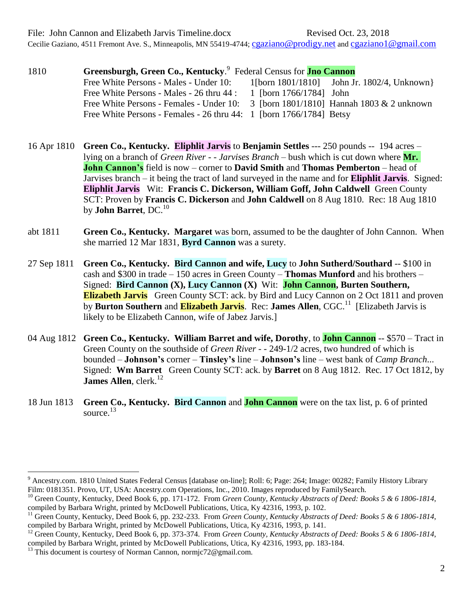File: John Cannon and Elizabeth Jarvis Timeline.docx Revised Oct. 23, 2018

Cecilie Gaziano, 4511 Fremont Ave. S., Minneapolis, MN 55419-4744; [cgaziano@prodigy.net](mailto:cgaziano@prodigy.net) and [cgaziano1@gmail.com](mailto:cgaziano1@gmail.com)

| 1810 | Greensburgh, Green Co., Kentucky. <sup>9</sup> Federal Census for <b>Jno Cannon</b>                              |                         |                                                  |  |  |  |  |
|------|------------------------------------------------------------------------------------------------------------------|-------------------------|--------------------------------------------------|--|--|--|--|
|      | Free White Persons - Males - Under 10:                                                                           |                         | 1[born $1801/1810$ ] John Jr. $1802/4$ , Unknown |  |  |  |  |
|      | Free White Persons - Males - 26 thru 44 :                                                                        | 1 [born 1766/1784] John |                                                  |  |  |  |  |
|      | Free White Persons - Females - Under 10: $\frac{3 \text{ [born } 1801/1810]}{1801/1810}$ Hannah 1803 & 2 unknown |                         |                                                  |  |  |  |  |
|      | Free White Persons - Females - 26 thru 44: 1 [born 1766/1784] Betsy                                              |                         |                                                  |  |  |  |  |

- 16 Apr 1810 **Green Co., Kentucky. Eliphlit Jarvis** to **Benjamin Settles** --- 250 pounds -- 194 acres lying on a branch of *Green River - - Jarvises Branch* – bush which is cut down where **Mr. John Cannon's** field is now – corner to **David Smith** and **Thomas Pemberton** – head of Jarvises branch – it being the tract of land surveyed in the name and for **Eliphlit Jarvis**. Signed: **Eliphlit Jarvis** Wit: **Francis C. Dickerson, William Goff, John Caldwell** Green County SCT: Proven by **Francis C. Dickerson** and **John Caldwell** on 8 Aug 1810. Rec: 18 Aug 1810 by **John Barret**, DC.<sup>10</sup>
- abt 1811 **Green Co., Kentucky. Margaret** was born, assumed to be the daughter of John Cannon. When she married 12 Mar 1831, **Byrd Cannon** was a surety.
- 27 Sep 1811 **Green Co., Kentucky. Bird Cannon and wife, Lucy** to **John Sutherd/Southard** -- \$100 in cash and \$300 in trade – 150 acres in Green County – **Thomas Munford** and his brothers – Signed: **Bird Cannon (X), Lucy Cannon (X)** Wit: **John Cannon, Burten Southern, Elizabeth Jarvis** Green County SCT: ack. by Bird and Lucy Cannon on 2 Oct 1811 and proven by **Burton Southern** and **Elizabeth Jarvis**. Rec: James Allen, CGC.<sup>11</sup> [Elizabeth Jarvis is likely to be Elizabeth Cannon, wife of Jabez Jarvis.]
- 04 Aug 1812 **Green Co., Kentucky. William Barret and wife, Dorothy**, to **John Cannon** -- \$570 Tract in Green County on the southside of *Green River* - - 249-1/2 acres, two hundred of which is bounded – **Johnson's** corner – **Tinsley's** line – **Johnson's** line – west bank of *Camp Branch*... Signed: **Wm Barret** Green County SCT: ack. by **Barret** on 8 Aug 1812. Rec. 17 Oct 1812, by **James Allen**, clerk.<sup>12</sup>
- 18 Jun 1813 **Green Co., Kentucky. Bird Cannon** and **John Cannon** were on the tax list, p. 6 of printed source. $13$

<sup>&</sup>lt;sup>9</sup> Ancestry.com. 1810 United States Federal Census [database on-line]; Roll: 6; Page: 264; Image: 00282; Family History Library Film: 0181351. Provo, UT, USA: Ancestry.com Operations, Inc., 2010. Images reproduced by FamilySearch.

<sup>&</sup>lt;sup>10</sup> Green County, Kentucky, Deed Book 6, pp. 171-172. From *Green County, Kentucky Abstracts of Deed: Books 5 & 6 1806-1814*, compiled by Barbara Wright, printed by McDowell Publications, Utica, Ky 42316, 1993, p. 102.

<sup>&</sup>lt;sup>11</sup> Green County, Kentucky, Deed Book 6, pp. 232-233. From *Green County, Kentucky Abstracts of Deed: Books 5 & 6 1806-1814*, compiled by Barbara Wright, printed by McDowell Publications, Utica, Ky 42316, 1993, p. 141.

<sup>&</sup>lt;sup>12</sup> Green County, Kentucky, Deed Book 6, pp. 373-374. From *Green County, Kentucky Abstracts of Deed: Books 5 & 6 1806-1814*, compiled by Barbara Wright, printed by McDowell Publications, Utica, Ky 42316, 1993, pp. 183-184.

 $^{13}$  This document is courtesy of Norman Cannon, normjc72@gmail.com.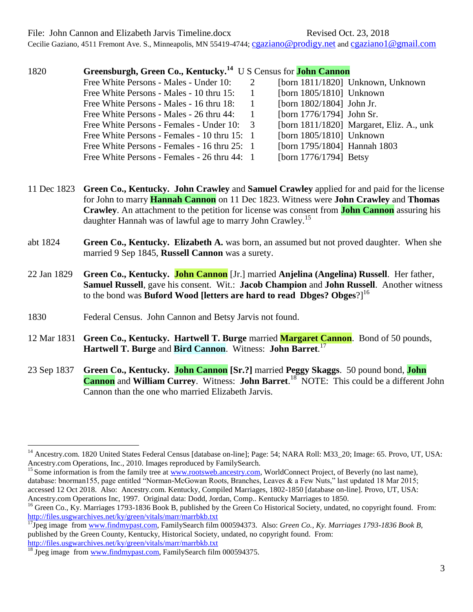File: John Cannon and Elizabeth Jarvis Timeline.docx Revised Oct. 23, 2018

Cecilie Gaziano, 4511 Fremont Ave. S., Minneapolis, MN 55419-4744; [cgaziano@prodigy.net](mailto:cgaziano@prodigy.net) and [cgaziano1@gmail.com](mailto:cgaziano1@gmail.com)

| 1820 | Greensburgh, Green Co., Kentucky. <sup>14</sup> U S Census for <b>John Cannon</b> |   |                              |                                          |
|------|-----------------------------------------------------------------------------------|---|------------------------------|------------------------------------------|
|      | Free White Persons - Males - Under 10:                                            | 2 |                              | [born 1811/1820] Unknown, Unknown        |
|      | Free White Persons - Males - 10 thru 15:                                          |   | [born $1805/1810$ ] Unknown  |                                          |
|      | Free White Persons - Males - 16 thru 18:                                          |   | [born 1802/1804] John Jr.    |                                          |
|      | Free White Persons - Males - 26 thru 44:                                          |   | [born 1776/1794] John Sr.    |                                          |
|      | Free White Persons - Females - Under 10: 3                                        |   |                              | [born 1811/1820] Margaret, Eliz. A., unk |
|      | Free White Persons - Females - 10 thru 15: 1                                      |   | [born 1805/1810] Unknown     |                                          |
|      | Free White Persons - Females - 16 thru 25: 1                                      |   | [born 1795/1804] Hannah 1803 |                                          |
|      | Free White Persons - Females - 26 thru 44: 1                                      |   | [born 1776/1794] Betsy       |                                          |

- 11 Dec 1823 **Green Co., Kentucky. John Crawley** and **Samuel Crawley** applied for and paid for the license for John to marry **Hannah Cannon** on 11 Dec 1823. Witness were **John Crawley** and **Thomas Crawley**. An attachment to the petition for license was consent from **John Cannon** assuring his daughter Hannah was of lawful age to marry John Crawley.<sup>15</sup>
- abt 1824 **Green Co., Kentucky. Elizabeth A.** was born, an assumed but not proved daughter. When she married 9 Sep 1845, **Russell Cannon** was a surety.
- 22 Jan 1829 **Green Co., Kentucky. John Cannon** [Jr.] married **Anjelina (Angelina) Russell**. Her father, **Samuel Russell**, gave his consent. Wit.: **Jacob Champion** and **John Russell**. Another witness to the bond was **Buford Wood [letters are hard to read Dbges? Obges**?]<sup>16</sup>
- 1830 Federal Census. John Cannon and Betsy Jarvis not found.
- 12 Mar 1831 **Green Co., Kentucky. Hartwell T. Burge** married **Margaret Cannon**. Bond of 50 pounds, **Hartwell T. Burge** and **Bird Cannon**. Witness: **John Barret**. 17
- 23 Sep 1837 **Green Co., Kentucky. John Cannon [Sr.?]** married **Peggy Skaggs**. 50 pound bond, **John Cannon** and **William Currey**. Witness: **John Barret**.<sup>18</sup> NOTE: This could be a different John Cannon than the one who married Elizabeth Jarvis.

<sup>15</sup> Some information is from the family tree at [www.rootsweb.ancestry.com,](http://www.rootsweb.ancestry.com/) WorldConnect Project, of Beverly (no last name), database: bnorman155, page entitled "Norman-McGowan Roots, Branches, Leaves & a Few Nuts," last updated 18 Mar 2015; accessed 12 Oct 2018. Also: Ancestry.com. Kentucky, Compiled Marriages, 1802-1850 [database on-line]. Provo, UT, USA: Ancestry.com Operations Inc, 1997. Original data: Dodd, Jordan, Comp.. Kentucky Marriages to 1850.

<sup>&</sup>lt;sup>14</sup> Ancestry.com. 1820 United States Federal Census [database on-line]; Page: 54; NARA Roll: M33 20; Image: 65. Provo, UT, USA: Ancestry.com Operations, Inc., 2010. Images reproduced by FamilySearch.

<sup>&</sup>lt;sup>16</sup> Green Co., Ky. Marriages 1793-1836 Book B, published by the Green Co Historical Society, undated, no copyright found. From: <http://files.usgwarchives.net/ky/green/vitals/marr/marrbkb.txt>

<sup>17</sup>Jpeg image fro[m www.findmypast.com,](http://www.findmypast.com/) FamilySearch film 000594373. Also: *Green Co., Ky. Marriages 1793-1836 Book B*, published by the Green County, Kentucky, Historical Society, undated, no copyright found. From: <http://files.usgwarchives.net/ky/green/vitals/marr/marrbkb.txt>

 $^{18}$  Jpeg image from [www.findmypast.com,](http://www.findmypast.com/) FamilySearch film 000594375.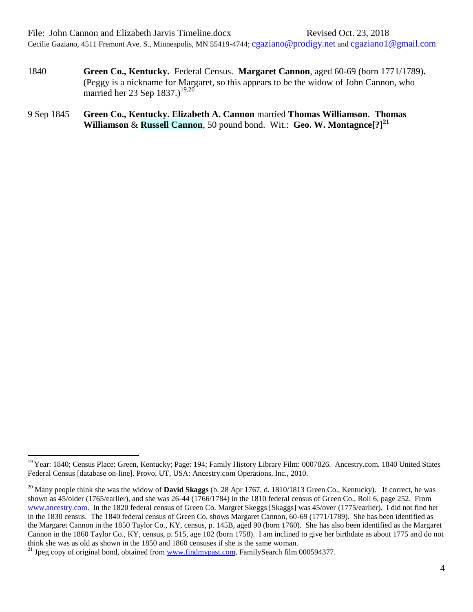- 1840 **Green Co., Kentucky.** Federal Census. **Margaret Cannon**, aged 60-69 (born 1771/1789)**.** (Peggy is a nickname for Margaret, so this appears to be the widow of John Cannon, who married her 23 Sep  $1837.$ )<sup>19,20</sup>
- 9 Sep 1845 **Green Co., Kentucky. Elizabeth A. Cannon** married **Thomas Williamson**. **Thomas Williamson** & **Russell Cannon**, 50 pound bond. Wit.: **Geo. W. Montagnce[?]<sup>21</sup>**

 $\overline{a}$ <sup>19</sup> Year: 1840; Census Place: Green, Kentucky; Page: 194; Family History Library Film: 0007826. Ancestry.com. 1840 United States Federal Census [database on-line]. Provo, UT, USA: Ancestry.com Operations, Inc., 2010.

<sup>20</sup> Many people think she was the widow of **David Skaggs** (b. 28 Apr 1767, d. 1810/1813 Green Co., Kentucky). If correct, he was shown as 45/older (1765/earlier), and she was 26-44 (1766/1784) in the 1810 federal census of Green Co., Roll 6, page 252. From [www.ancestry.com.](http://www.ancestry.com/) In the 1820 federal census of Green Co. Margret Skeggs [Skaggs] was 45/over (1775/earlier). I did not find her in the 1830 census. The 1840 federal census of Green Co. shows Margaret Cannon, 60-69 (1771/1789). She has been identified as the Margaret Cannon in the 1850 Taylor Co., KY, census, p. 145B, aged 90 (born 1760). She has also been identified as the Margaret Cannon in the 1860 Taylor Co., KY, census, p. 515, age 102 (born 1758). I am inclined to give her birthdate as about 1775 and do not think she was as old as shown in the 1850 and 1860 censuses if she is the same woman.

<sup>&</sup>lt;sup>21</sup> Jpeg copy of original bond, obtained from [www.findmypast.com,](http://www.findmypast.com/) FamilySearch film 000594377.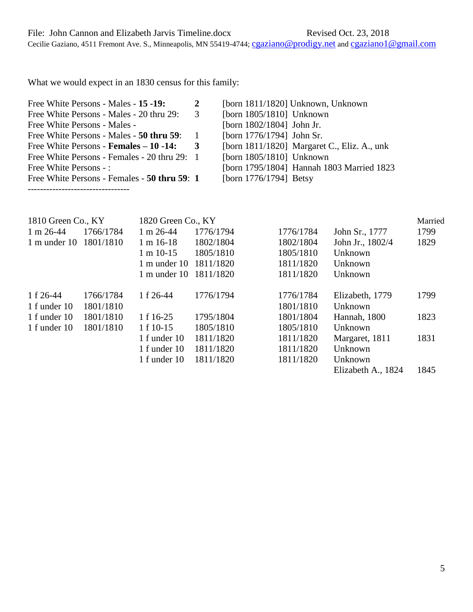Cecilie Gaziano, 4511 Fremont Ave. S., Minneapolis, MN 55419-4744; [cgaziano@prodigy.net](mailto:cgaziano@prodigy.net) and [cgaziano1@gmail.com](mailto:cgaziano1@gmail.com)

What we would expect in an 1830 census for this family:

| Free White Persons - Males - 15 -19:         | 2 | [born 1811/1820] Unknown, Unknown              |
|----------------------------------------------|---|------------------------------------------------|
| Free White Persons - Males - 20 thru 29:     | 3 | [born $1805/1810$ ] Unknown                    |
| <b>Free White Persons - Males -</b>          |   | [born 1802/1804] John Jr.                      |
| Free White Persons - Males - 50 thru 59:     |   | [born 1776/1794] John Sr.                      |
| Free White Persons - Females – 10 -14:       | 3 | [born $1811/1820$ ] Margaret C., Eliz. A., unk |
| Free White Persons - Females - 20 thru 29: 1 |   | [born $1805/1810$ ] Unknown                    |
| Free White Persons - :                       |   | [born 1795/1804] Hannah 1803 Married 1823      |
| Free White Persons - Females - 50 thru 59: 1 |   | [born $1776/1794$ ] Betsy                      |
|                                              |   |                                                |

| 1810 Green Co., KY                 |           | 1820 Green Co., KY      |           |           |                    |      |
|------------------------------------|-----------|-------------------------|-----------|-----------|--------------------|------|
| $1 m 26 - 44$                      | 1766/1784 | $1 \text{ m } 26 - 44$  | 1776/1794 | 1776/1784 | John Sr., 1777     | 1799 |
| $1 \text{ m}$ under $10 \text{ m}$ | 1801/1810 | $1 m 16-18$             | 1802/1804 | 1802/1804 | John Jr., 1802/4   | 1829 |
|                                    |           | $1 m 10-15$             | 1805/1810 | 1805/1810 | Unknown            |      |
|                                    |           | $1 m$ under $10$        | 1811/1820 | 1811/1820 | Unknown            |      |
|                                    |           | $1 \text{ m under } 10$ | 1811/1820 | 1811/1820 | Unknown            |      |
| 1 f 26-44                          | 1766/1784 | 1 f 26-44               | 1776/1794 | 1776/1784 | Elizabeth, 1779    | 1799 |
| 1 f under 10                       | 1801/1810 |                         |           | 1801/1810 | Unknown            |      |
| 1 f under 10                       | 1801/1810 | 1 f 16-25               | 1795/1804 | 1801/1804 | Hannah, 1800       | 1823 |
| 1 f under 10                       | 1801/1810 | 1 f 10-15               | 1805/1810 | 1805/1810 | Unknown            |      |
|                                    |           | 1 f under 10            | 1811/1820 | 1811/1820 | Margaret, 1811     | 1831 |
|                                    |           | 1 f under 10            | 1811/1820 | 1811/1820 | Unknown            |      |
|                                    |           | 1 f under 10            | 1811/1820 | 1811/1820 | Unknown            |      |
|                                    |           |                         |           |           | Elizabeth A., 1824 | 1845 |